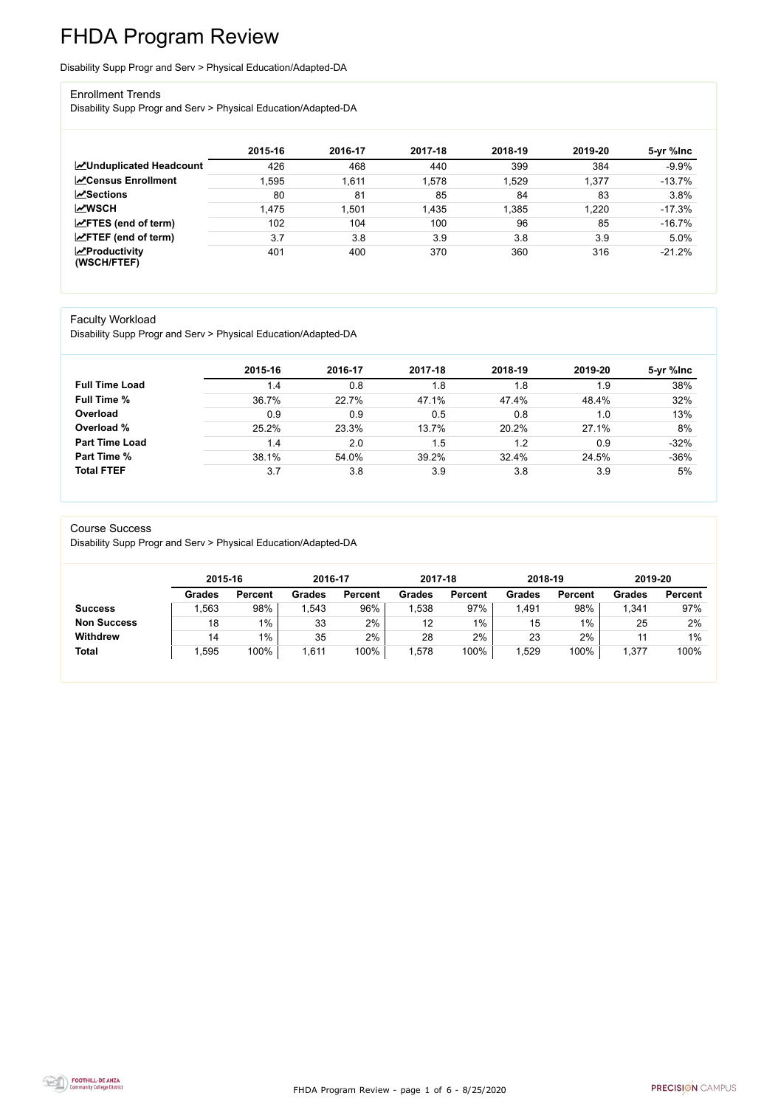FHDA Program Review - page 1 of 6 - 8/25/2020



# FHDA Program Review

Disability Supp Progr and Serv > Physical Education/Adapted-DA

#### Enrollment Trends

Disability Supp Progr and Serv > Physical Education/Adapted-DA

|                                                  | 2015-16 | 2016-17 | 2017-18 | 2018-19 | 2019-20 | 5-yr %lnc |
|--------------------------------------------------|---------|---------|---------|---------|---------|-----------|
| <b>ZUnduplicated Headcount</b>                   | 426     | 468     | 440     | 399     | 384     | $-9.9%$   |
| <b>∠</b> Census Enrollment                       | .595    | 1,611   | 1,578   | 1,529   | 1,377   | $-13.7%$  |
| <b>ZSections</b>                                 | 80      | 81      | 85      | 84      | 83      | 3.8%      |
| <b>MWSCH</b>                                     | 1,475   | .501    | 1,435   | 1,385   | 1,220   | $-17.3%$  |
| $\angle$ FTES (end of term)                      | 102     | 104     | 100     | 96      | 85      | $-16.7%$  |
| $\angle$ FTEF (end of term)                      | 3.7     | 3.8     | 3.9     | 3.8     | 3.9     | 5.0%      |
| $\sqrt{\frac{1}{2}}$ Productivity<br>(WSCH/FTEF) | 401     | 400     | 370     | 360     | 316     | $-21.2%$  |

#### Faculty Workload

Disability Supp Progr and Serv > Physical Education/Adapted-DA

|                       | 2015-16   | 2016-17 | 2017-18 | 2018-19 | 2019-20 | 5-yr %lnc |
|-----------------------|-----------|---------|---------|---------|---------|-----------|
| <b>Full Time Load</b> | $\cdot$ 4 | 0.8     | 1.8     | .8      | 1.9     | 38%       |
| <b>Full Time %</b>    | 36.7%     | 22.7%   | 47.1%   | 47.4%   | 48.4%   | 32%       |
| Overload              | 0.9       | 0.9     | 0.5     | 0.8     | 1.0     | 13%       |
| Overload %            | 25.2%     | 23.3%   | 13.7%   | 20.2%   | 27.1%   | 8%        |
| <b>Part Time Load</b> | 1.4       | 2.0     | 1.5     | 1.2     | 0.9     | $-32%$    |
| <b>Part Time %</b>    | 38.1%     | 54.0%   | 39.2%   | 32.4%   | 24.5%   | $-36%$    |
| <b>Total FTEF</b>     | 3.7       | 3.8     | 3.9     | 3.8     | 3.9     | 5%        |

#### Course Success

Disability Supp Progr and Serv > Physical Education/Adapted-DA

|                    |               | 2015-16        |               | 2016-17        | 2017-18       |                | 2018-19       |                | 2019-20       |                |
|--------------------|---------------|----------------|---------------|----------------|---------------|----------------|---------------|----------------|---------------|----------------|
|                    | <b>Grades</b> | <b>Percent</b> | <b>Grades</b> | <b>Percent</b> | <b>Grades</b> | <b>Percent</b> | <b>Grades</b> | <b>Percent</b> | <b>Grades</b> | <b>Percent</b> |
| <b>Success</b>     | ,563          | 98%            | ,543          | 96%            | ,538          | 97%            | ,491          | 98%            | 1,341         | 97%            |
| <b>Non Success</b> | 18            | $1\%$          | 33            | 2%             | 12            | $1\%$          | 15            | $1\%$          | 25            | 2%             |
| <b>Withdrew</b>    | 14            | $1\%$          | 35            | 2%             | 28            | 2%             | 23            | 2%             | 44            | $1\%$          |
| <b>Total</b>       | ,595          | 100%           | ,611          | 100%           | ,578          | 100%           | ,529          | 100%           | 1,377         | 100%           |

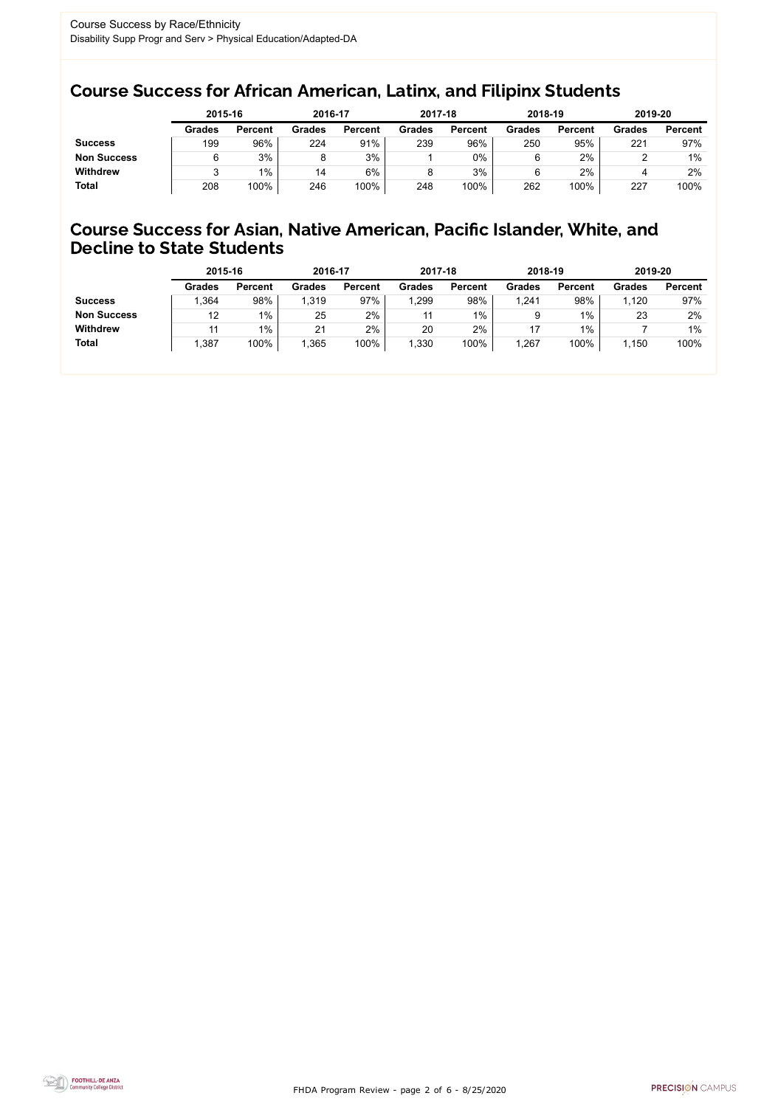FHDA Program Review - page 2 of 6 - 8/25/2020



### Course Success for African American, Latinx, and Filipinx Students

### Course Success for Asian, Native American, Pacific Islander, White, and Decline to State Students

|                    | 2015-16       |                | 2016-17       |                | 2017-18       |                | 2018-19       |                | 2019-20       |                |
|--------------------|---------------|----------------|---------------|----------------|---------------|----------------|---------------|----------------|---------------|----------------|
|                    | <b>Grades</b> | <b>Percent</b> | <b>Grades</b> | <b>Percent</b> | <b>Grades</b> | <b>Percent</b> | <b>Grades</b> | <b>Percent</b> | <b>Grades</b> | <b>Percent</b> |
| <b>Success</b>     | 199           | 96%            | 224           | 91%            | 239           | 96%            | 250           | 95%            | 221           | 97%            |
| <b>Non Success</b> |               | 3%             |               | 3%             |               | $0\%$          |               | 2%             |               | $1\%$          |
| <b>Withdrew</b>    |               | $1\%$          | 14            | 6%             |               | 3%             |               | 2%             |               | 2%             |
| <b>Total</b>       | 208           | 100%           | 246           | 100%           | 248           | 100%           | 262           | 100%           | 227           | 100%           |

|                    | 2015-16       |                | 2016-17       |                | 2017-18       |                | 2018-19       |                | 2019-20       |                |
|--------------------|---------------|----------------|---------------|----------------|---------------|----------------|---------------|----------------|---------------|----------------|
|                    | <b>Grades</b> | <b>Percent</b> | <b>Grades</b> | <b>Percent</b> | <b>Grades</b> | <b>Percent</b> | <b>Grades</b> | <b>Percent</b> | <b>Grades</b> | <b>Percent</b> |
| <b>Success</b>     | .364          | 98%            | 1,319         | 97%            | .299          | 98%            | 1,241         | 98%            | 1,120         | 97%            |
| <b>Non Success</b> | 12            | $1\%$          | 25            | 2%             |               | $1\%$          |               | $1\%$          | 23            | 2%             |
| <b>Withdrew</b>    |               | $1\%$          | 21            | 2%             | 20            | 2%             |               | $1\%$          |               | $1\%$          |
| <b>Total</b>       | ,387          | 100%           | 1,365         | 100%           | 1,330         | 100%           | 1,267         | 100%           | ,150          | 100%           |
|                    |               |                |               |                |               |                |               |                |               |                |

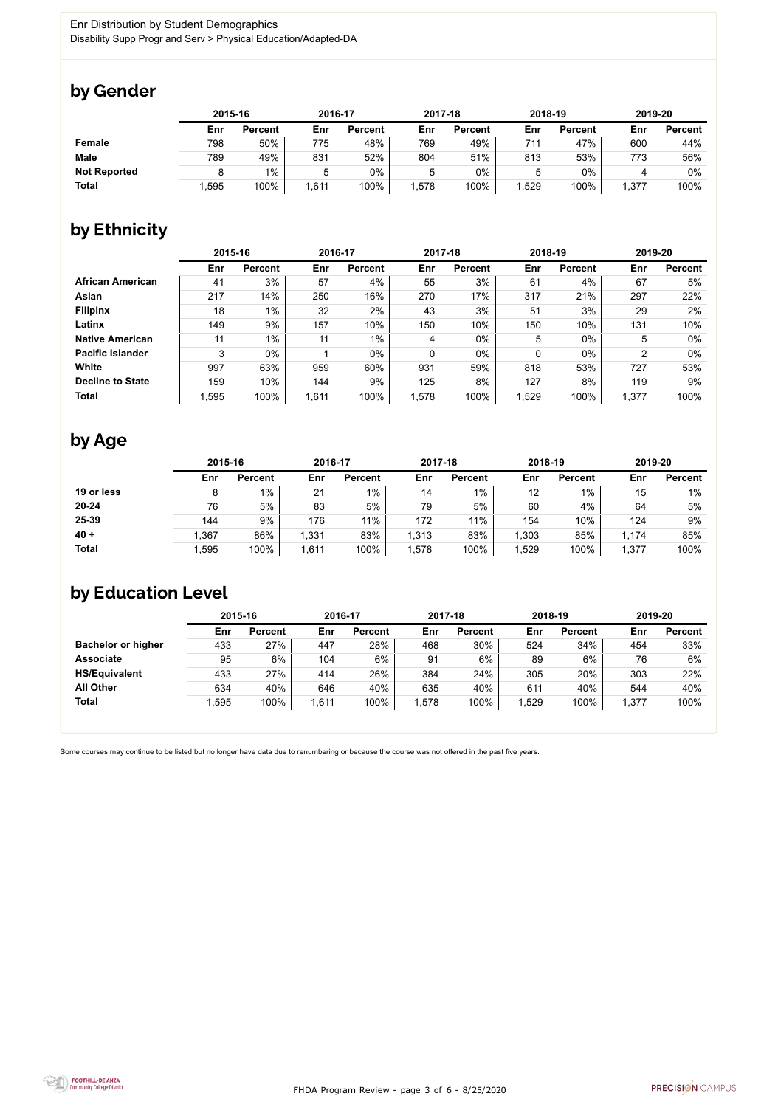

Some courses may continue to be listed but no longer have data due to renumbering or because the course was not offered in the past five years.



### by Gender

|                     |      | 2015-16        |      | 2016-17        |       | 2017-18        |      | 2018-19        | 2019-20 |                |
|---------------------|------|----------------|------|----------------|-------|----------------|------|----------------|---------|----------------|
|                     | Enr  | <b>Percent</b> | Enr  | <b>Percent</b> | Enr   | <b>Percent</b> | Enr  | <b>Percent</b> | Enr     | <b>Percent</b> |
| <b>Female</b>       | 798  | 50%            | 775  | 48%            | 769   | 49%            | 711  | 47%            | 600     | 44%            |
| <b>Male</b>         | 789  | 49%            | 831  | 52%            | 804   | 51%            | 813  | 53%            | 773     | 56%            |
| <b>Not Reported</b> |      | $1\%$          |      | $0\%$          | 5     | 0%             |      | 0%             |         | 0%             |
| <b>Total</b>        | ,595 | 100%           | ,611 | 100%           | 1,578 | 100%           | ,529 | 100%           | 1,377   | 100%           |

## by Ethnicity

|                         |       | 2015-16        |       | 2016-17        |       | 2017-18        | 2018-19     |                | 2019-20        |                |
|-------------------------|-------|----------------|-------|----------------|-------|----------------|-------------|----------------|----------------|----------------|
|                         | Enr   | <b>Percent</b> | Enr   | <b>Percent</b> | Enr   | <b>Percent</b> | Enr         | <b>Percent</b> | Enr            | <b>Percent</b> |
| <b>African American</b> | 41    | 3%             | 57    | 4%             | 55    | 3%             | 61          | 4%             | 67             | 5%             |
| Asian                   | 217   | 14%            | 250   | 16%            | 270   | 17%            | 317         | 21%            | 297            | 22%            |
| <b>Filipinx</b>         | 18    | $1\%$          | 32    | 2%             | 43    | 3%             | 51          | 3%             | 29             | 2%             |
| Latinx                  | 149   | 9%             | 157   | 10%            | 150   | 10%            | 150         | 10%            | 131            | 10%            |
| <b>Native American</b>  | 11    | $1\%$          | 11    | $1\%$          | 4     | $0\%$          | 5           | $0\%$          | 5              | $0\%$          |
| <b>Pacific Islander</b> | 3     | $0\%$          |       | $0\%$          | 0     | $0\%$          | $\mathbf 0$ | $0\%$          | $\overline{2}$ | $0\%$          |
| White                   | 997   | 63%            | 959   | 60%            | 931   | 59%            | 818         | 53%            | 727            | 53%            |
| <b>Decline to State</b> | 159   | 10%            | 144   | 9%             | 125   | 8%             | 127         | 8%             | 119            | 9%             |
| <b>Total</b>            | 1,595 | 100%           | 1,611 | 100%           | 1,578 | 100%           | 1,529       | 100%           | 1,377          | 100%           |

### by Age

|              |      | 2015-16        |       | 2016-17        |       | 2017-18        |      | 2018-19        |       | 2019-20        |  |
|--------------|------|----------------|-------|----------------|-------|----------------|------|----------------|-------|----------------|--|
|              | Enr  | <b>Percent</b> | Enr   | <b>Percent</b> | Enr   | <b>Percent</b> | Enr  | <b>Percent</b> | Enr   | <b>Percent</b> |  |
| 19 or less   | 8    | $1\%$          | 21    | $1\%$          | 14    | $1\%$          | 12   | $1\%$          | 15    | $1\%$          |  |
| $20 - 24$    | 76   | 5%             | 83    | 5%             | 79    | 5%             | 60   | 4%             | 64    | 5%             |  |
| 25-39        | 144  | 9%             | 176   | 11%            | 172   | 11%            | 154  | 10%            | 124   | 9%             |  |
| $40 +$       | ,367 | 86%            | 1,331 | 83%            | 1,313 | 83%            | ,303 | 85%            | 1,174 | 85%            |  |
| <b>Total</b> | ,595 | 100%           | 1,611 | 100%           | ,578  | 100%           | ,529 | 100%           | 1,377 | 100%           |  |

## by Education Level

|                           | 2015-16 |                |      | 2016-17        |      | 2017-18        | 2018-19 |                | 2019-20 |                |
|---------------------------|---------|----------------|------|----------------|------|----------------|---------|----------------|---------|----------------|
|                           | Enr     | <b>Percent</b> | Enr  | <b>Percent</b> | Enr  | <b>Percent</b> | Enr     | <b>Percent</b> | Enr     | <b>Percent</b> |
| <b>Bachelor or higher</b> | 433     | 27%            | 447  | 28%            | 468  | 30%            | 524     | 34%            | 454     | 33%            |
| <b>Associate</b>          | 95      | 6%             | 104  | 6%             | 91   | 6%             | 89      | 6%             | 76      | 6%             |
| <b>HS/Equivalent</b>      | 433     | 27%            | 414  | 26%            | 384  | 24%            | 305     | 20%            | 303     | 22%            |
| <b>All Other</b>          | 634     | 40%            | 646  | 40%            | 635  | 40%            | 611     | 40%            | 544     | 40%            |
| <b>Total</b>              | ,595    | 100%           | ,611 | 100%           | ,578 | 100%           | ,529    | 100%           | 1,377   | 100%           |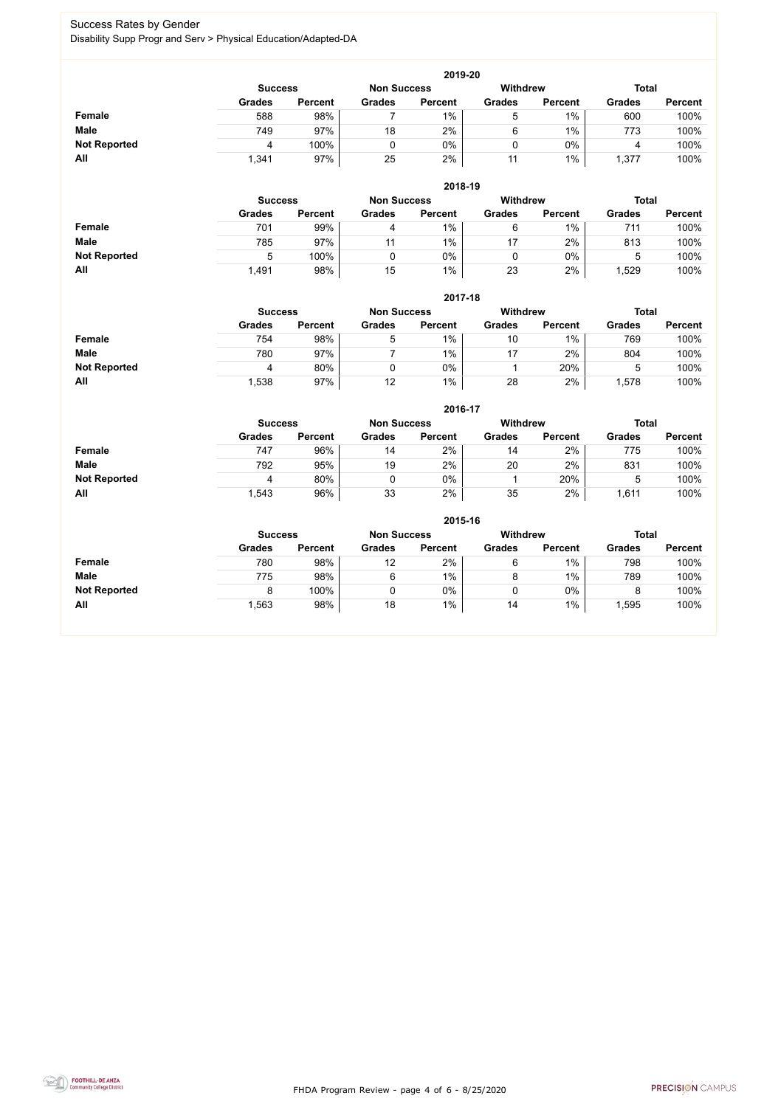FHDA Program Review - page 4 of 6 - 8/25/2020



#### Success Rates by Gender Disability Supp Progr and Serv > Physical Education/Adapted-DA

|                     | 2019-20       |                                                         |               |                |               |                |               |                |  |  |  |  |  |
|---------------------|---------------|---------------------------------------------------------|---------------|----------------|---------------|----------------|---------------|----------------|--|--|--|--|--|
|                     |               | <b>Withdrew</b><br><b>Non Success</b><br><b>Success</b> |               |                |               |                |               |                |  |  |  |  |  |
|                     | <b>Grades</b> | <b>Percent</b>                                          | <b>Grades</b> | <b>Percent</b> | <b>Grades</b> | <b>Percent</b> | <b>Grades</b> | <b>Percent</b> |  |  |  |  |  |
| <b>Female</b>       | 588           | 98%                                                     |               | 1%             | ხ             | $1\%$          | 600           | 100%           |  |  |  |  |  |
| <b>Male</b>         | 749           | 97%                                                     | 18            | 2%             | 6             | $1\%$          | 773           | 100%           |  |  |  |  |  |
| <b>Not Reported</b> | 4             | 100%                                                    | 0             | 0%             | 0             | 0%             |               | 100%           |  |  |  |  |  |
| All                 | 1,341         | 97%                                                     | 25            | 2%             | 11            | $1\%$          | 1,377         | 100%           |  |  |  |  |  |

|                     |                | 2018-19        |                    |                |                 |                |               |                |  |  |  |  |  |  |
|---------------------|----------------|----------------|--------------------|----------------|-----------------|----------------|---------------|----------------|--|--|--|--|--|--|
|                     | <b>Success</b> |                | <b>Non Success</b> |                | <b>Withdrew</b> |                |               | <b>Total</b>   |  |  |  |  |  |  |
|                     | <b>Grades</b>  | <b>Percent</b> | <b>Grades</b>      | <b>Percent</b> | <b>Grades</b>   | <b>Percent</b> | <b>Grades</b> | <b>Percent</b> |  |  |  |  |  |  |
| <b>Female</b>       | 701            | 99%            | 4                  | $1\%$          | 6               | $1\%$          | 711           | 100%           |  |  |  |  |  |  |
| <b>Male</b>         | 785            | 97%            | 11                 | $1\%$          | 17              | $2\%$          | 813           | 100%           |  |  |  |  |  |  |
| <b>Not Reported</b> | $\mathbf b$    | 100%           |                    | 0%             |                 | $0\%$          | b             | 100%           |  |  |  |  |  |  |
| All                 | 1,491          | 98%            | 15                 | $1\%$          | 23              | 2%             | ,529          | 100%           |  |  |  |  |  |  |

|                     |                | 2017-18        |                    |                |                 |                |               |                |  |  |  |  |  |
|---------------------|----------------|----------------|--------------------|----------------|-----------------|----------------|---------------|----------------|--|--|--|--|--|
|                     | <b>Success</b> |                | <b>Non Success</b> |                | <b>Withdrew</b> |                | <b>Total</b>  |                |  |  |  |  |  |
|                     | <b>Grades</b>  | <b>Percent</b> | <b>Grades</b>      | <b>Percent</b> | <b>Grades</b>   | <b>Percent</b> | <b>Grades</b> | <b>Percent</b> |  |  |  |  |  |
| Female              | 754            | 98%            | 5                  | $1\%$          | 10              | 1%             | 769           | 100%           |  |  |  |  |  |
| <b>Male</b>         | 780            | 97%            |                    | 1%             |                 | 2%             | 804           | 100%           |  |  |  |  |  |
| <b>Not Reported</b> | 4              | 80%            |                    | $0\%$          |                 | 20%            | ხ             | 100%           |  |  |  |  |  |
| All                 | ,538           | 97%            | 12                 | $1\%$          | 28              | 2%             | ,578          | 100%           |  |  |  |  |  |

|                     |               | 2016-17                                                 |               |                |               |                |               |                |  |
|---------------------|---------------|---------------------------------------------------------|---------------|----------------|---------------|----------------|---------------|----------------|--|
|                     |               | <b>Withdrew</b><br><b>Non Success</b><br><b>Success</b> |               |                |               |                |               | <b>Total</b>   |  |
|                     | <b>Grades</b> | <b>Percent</b>                                          | <b>Grades</b> | <b>Percent</b> | <b>Grades</b> | <b>Percent</b> | <b>Grades</b> | <b>Percent</b> |  |
| Female              | 747           | 96%                                                     | 14            | 2%             | 14            | 2%             | 775           | 100%           |  |
| <b>Male</b>         | 792           | 95%                                                     | 19            | 2%             | 20            | 2%             | 831           | 100%           |  |
| <b>Not Reported</b> | 4             | 80%                                                     |               | $0\%$          |               | 20%            | b             | 100%           |  |
| All                 | 1,543         | 96%                                                     | 33            | 2%             | 35            | 2%             | 1,611         | 100%           |  |

|                     |                |                |                    | 2015-16        |                 |                |               |                |
|---------------------|----------------|----------------|--------------------|----------------|-----------------|----------------|---------------|----------------|
|                     | <b>Success</b> |                | <b>Non Success</b> |                | <b>Withdrew</b> |                | <b>Total</b>  |                |
|                     | <b>Grades</b>  | <b>Percent</b> | <b>Grades</b>      | <b>Percent</b> | <b>Grades</b>   | <b>Percent</b> | <b>Grades</b> | <b>Percent</b> |
| Female              | 780            | 98%            | 12                 | 2%             | 6               | $1\%$          | 798           | 100%           |
| <b>Male</b>         | 775            | 98%            | 6                  | $1\%$          | 8               | $1\%$          | 789           | 100%           |
| <b>Not Reported</b> |                | 100%           |                    | 0%             | υ               | $0\%$          |               | 100%           |
| All                 | 1,563          | 98%            | 18                 | 1%             | 14              | $1\%$          | ,595          | 100%           |

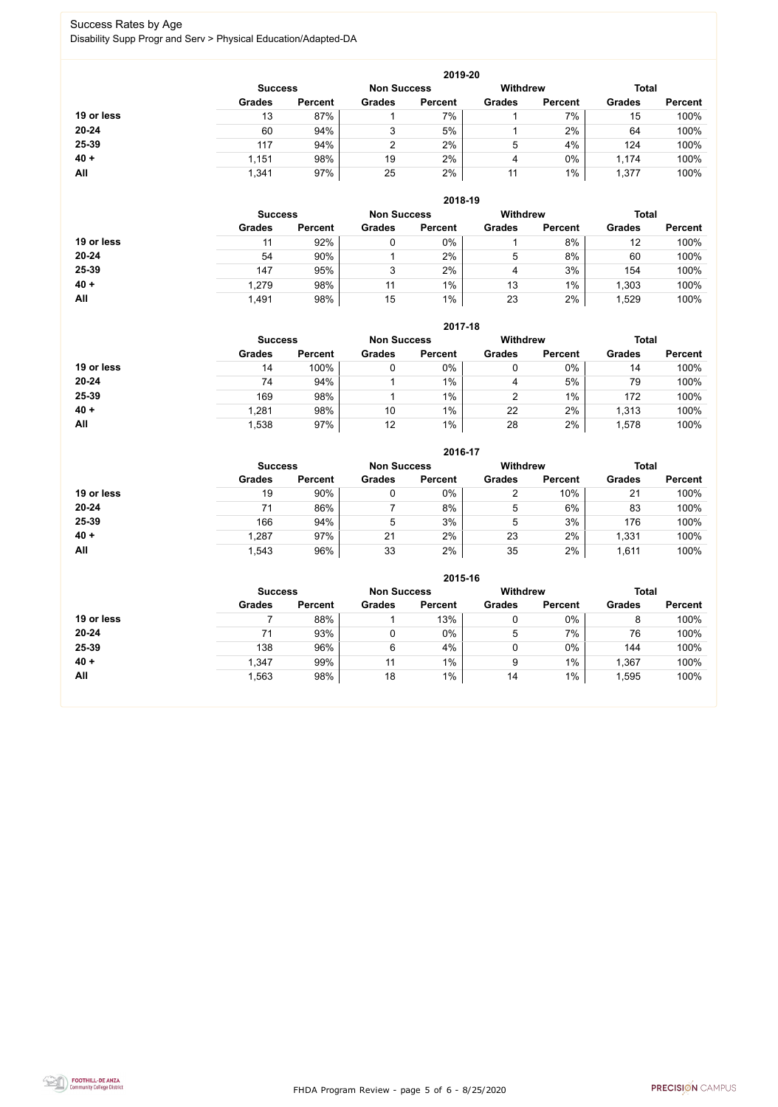FHDA Program Review - page 5 of 6 - 8/25/2020



## Success Rates by Age

Disability Supp Progr and Serv > Physical Education/Adapted-DA

|            |                |                    |               | 2019-20        |               |                |               |                |
|------------|----------------|--------------------|---------------|----------------|---------------|----------------|---------------|----------------|
|            | <b>Success</b> | <b>Non Success</b> |               | Withdrew       |               | <b>Total</b>   |               |                |
|            | <b>Grades</b>  | <b>Percent</b>     | <b>Grades</b> | <b>Percent</b> | <b>Grades</b> | <b>Percent</b> | <b>Grades</b> | <b>Percent</b> |
| 19 or less | 13             | 87%                |               | 7%             |               | 7%             | 15            | 100%           |
| $20 - 24$  | 60             | 94%                | 3             | 5%             |               | 2%             | 64            | 100%           |
| 25-39      | 117            | 94%                | C             | 2%             | 5             | 4%             | 124           | 100%           |
| $40 +$     | 1,151          | 98%                | 19            | 2%             | 4             | $0\%$          | 1,174         | 100%           |
| All        | 1,341          | 97%                | 25            | 2%             | 11            | $1\%$          | 1,377         | 100%           |

|            |                |                |               | 2018-19            |                 |                |               |                |
|------------|----------------|----------------|---------------|--------------------|-----------------|----------------|---------------|----------------|
|            | <b>Success</b> |                |               | <b>Non Success</b> | <b>Withdrew</b> |                | <b>Total</b>  |                |
|            | <b>Grades</b>  | <b>Percent</b> | <b>Grades</b> | <b>Percent</b>     | <b>Grades</b>   | <b>Percent</b> | <b>Grades</b> | <b>Percent</b> |
| 19 or less | 11             | 92%            |               | $0\%$              |                 | 8%             | 12            | 100%           |
| $20 - 24$  | 54             | 90%            |               | 2%                 | 5               | 8%             | 60            | 100%           |
| $25 - 39$  | 147            | 95%            | 3             | 2%                 | 4               | 3%             | 154           | 100%           |
| $40 +$     | 1,279          | 98%            | 11            | $1\%$              | 13              | $1\%$          | ,303          | 100%           |
| All        | 1,491          | 98%            | 15            | $1\%$              | 23              | 2%             | ,529          | 100%           |

|            |                                      |                |               | 2017-18        |               |                 |               |                |
|------------|--------------------------------------|----------------|---------------|----------------|---------------|-----------------|---------------|----------------|
|            | <b>Non Success</b><br><b>Success</b> |                |               |                |               | <b>Withdrew</b> | <b>Total</b>  |                |
|            | <b>Grades</b>                        | <b>Percent</b> | <b>Grades</b> | <b>Percent</b> | <b>Grades</b> | <b>Percent</b>  | <b>Grades</b> | <b>Percent</b> |
| 19 or less | 14                                   | 100%           | 0             | 0%             | 0             | $0\%$           | 14            | 100%           |
| $20 - 24$  | 74                                   | 94%            |               | $1\%$          | 4             | 5%              | 79            | 100%           |
| 25-39      | 169                                  | 98%            |               | $1\%$          | າ             | 1%              | 172           | 100%           |
| $40 +$     | 1,281                                | 98%            | 10            | $1\%$          | 22            | 2%              | 1,313         | 100%           |
| All        | 1,538                                | 97%            | 12            | $1\%$          | 28            | 2%              | 1,578         | 100%           |

|            |                |                    |               | 2016-17         |               |                |               |                |
|------------|----------------|--------------------|---------------|-----------------|---------------|----------------|---------------|----------------|
|            | <b>Success</b> | <b>Non Success</b> |               | <b>Withdrew</b> |               | <b>Total</b>   |               |                |
|            | <b>Grades</b>  | <b>Percent</b>     | <b>Grades</b> | <b>Percent</b>  | <b>Grades</b> | <b>Percent</b> | <b>Grades</b> | <b>Percent</b> |
| 19 or less | 19             | 90%                | 0             | 0%              | ▵             | 10%            | 21            | 100%           |
| 20-24      | 71             | 86%                |               | 8%              | 5             | 6%             | 83            | 100%           |
| 25-39      | 166            | 94%                | 5             | 3%              | 5             | 3%             | 176           | 100%           |
| $40 +$     | 1,287          | 97%                | 21            | 2%              | 23            | 2%             | 1,331         | 100%           |
| All        | 1,543          | 96%                | 33            | 2%              | 35            | 2%             | 1,611         | 100%           |

|            |                                      |                |               | 2015-16        |                 |                |               |                |
|------------|--------------------------------------|----------------|---------------|----------------|-----------------|----------------|---------------|----------------|
|            | <b>Non Success</b><br><b>Success</b> |                |               |                | <b>Withdrew</b> |                | <b>Total</b>  |                |
|            | <b>Grades</b>                        | <b>Percent</b> | <b>Grades</b> | <b>Percent</b> | <b>Grades</b>   | <b>Percent</b> | <b>Grades</b> | <b>Percent</b> |
| 19 or less |                                      | 88%            |               | 13%            |                 | 0%             | 8             | 100%           |
| $20 - 24$  | 71                                   | 93%            | υ             | $0\%$          | 5               | 7%             | 76            | 100%           |
| 25-39      | 138                                  | 96%            | 6             | 4%             |                 | 0%             | 144           | 100%           |
| $40 +$     | 1,347                                | 99%            | 11            | $1\%$          | 9               | 1%             | 1,367         | 100%           |
| All        | 1,563                                | 98%            | 18            | $1\%$          | 14              | 1%             | 1,595         | 100%           |